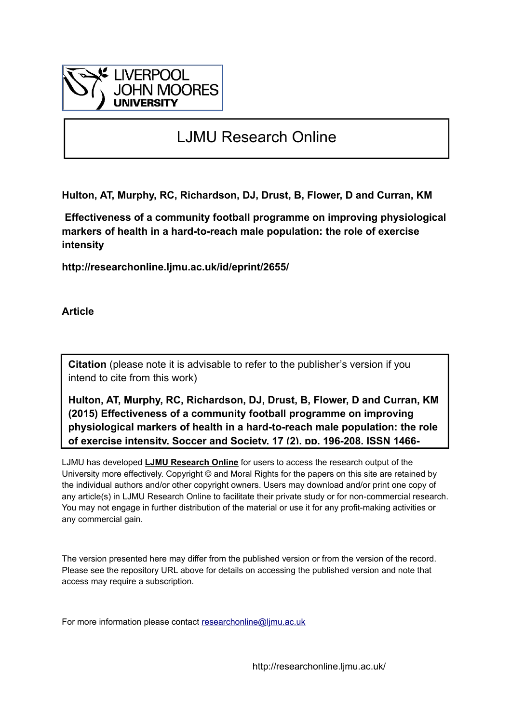

# LJMU Research Online

**Hulton, AT, Murphy, RC, Richardson, DJ, Drust, B, Flower, D and Curran, KM**

 **Effectiveness of a community football programme on improving physiological markers of health in a hard-to-reach male population: the role of exercise intensity**

**http://researchonline.ljmu.ac.uk/id/eprint/2655/**

**Article**

**Citation** (please note it is advisable to refer to the publisher's version if you intend to cite from this work)

**Hulton, AT, Murphy, RC, Richardson, DJ, Drust, B, Flower, D and Curran, KM (2015) Effectiveness of a community football programme on improving physiological markers of health in a hard-to-reach male population: the role of exercise intensity. Soccer and Society, 17 (2). pp. 196-208. ISSN 1466-**

LJMU has developed **[LJMU Research Online](http://researchonline.ljmu.ac.uk/)** for users to access the research output of the University more effectively. Copyright © and Moral Rights for the papers on this site are retained by the individual authors and/or other copyright owners. Users may download and/or print one copy of any article(s) in LJMU Research Online to facilitate their private study or for non-commercial research. You may not engage in further distribution of the material or use it for any profit-making activities or any commercial gain.

The version presented here may differ from the published version or from the version of the record. Please see the repository URL above for details on accessing the published version and note that access may require a subscription.

For more information please contact researchonline@limu.ac.uk

http://researchonline.ljmu.ac.uk/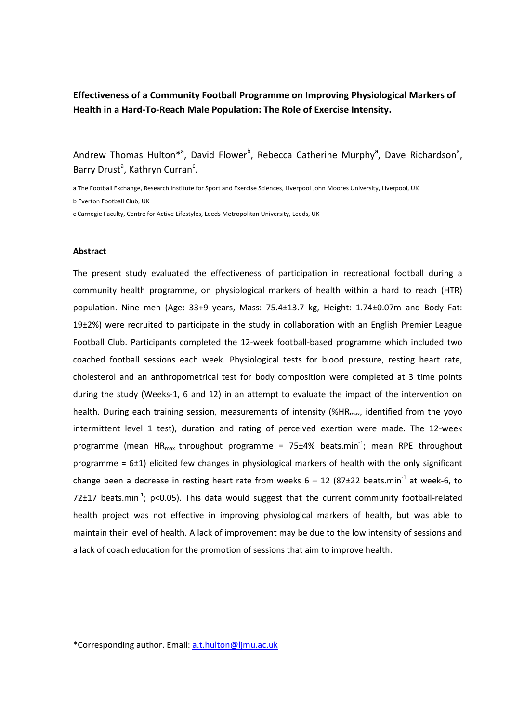# **Effectiveness of a Community Football Programme on Improving Physiological Markers of Health in a Hard-To-Reach Male Population: The Role of Exercise Intensity.**

Andrew Thomas Hulton<sup>\*a</sup>, David Flower<sup>b</sup>, Rebecca Catherine Murphy<sup>a</sup>, Dave Richardson<sup>a</sup>, Barry Drust<sup>a</sup>, Kathryn Curran<sup>c</sup>.

a The Football Exchange, Research Institute for Sport and Exercise Sciences, Liverpool John Moores University, Liverpool, UK b Everton Football Club, UK

c Carnegie Faculty, Centre for Active Lifestyles, Leeds Metropolitan University, Leeds, UK

#### **Abstract**

The present study evaluated the effectiveness of participation in recreational football during a community health programme, on physiological markers of health within a hard to reach (HTR) population. Nine men (Age: 33+9 years, Mass: 75.4+13.7 kg, Height: 1.74+0.07m and Body Fat: 19±2%) were recruited to participate in the study in collaboration with an English Premier League Football Club. Participants completed the 12-week football-based programme which included two coached football sessions each week. Physiological tests for blood pressure, resting heart rate, cholesterol and an anthropometrical test for body composition were completed at 3 time points during the study (Weeks-1, 6 and 12) in an attempt to evaluate the impact of the intervention on health. During each training session, measurements of intensity (%HR<sub>max</sub>, identified from the yoyo intermittent level 1 test), duration and rating of perceived exertion were made. The 12-week programme (mean  $HR_{max}$  throughout programme = 75 $\pm$ 4% beats.min<sup>-1</sup>; mean RPE throughout programme = 6±1) elicited few changes in physiological markers of health with the only significant change been a decrease in resting heart rate from weeks  $6 - 12$  (87 $\pm$ 22 beats.min<sup>-1</sup> at week-6, to 72 $\pm$ 17 beats.min<sup>-1</sup>; p<0.05). This data would suggest that the current community football-related health project was not effective in improving physiological markers of health, but was able to maintain their level of health. A lack of improvement may be due to the low intensity of sessions and a lack of coach education for the promotion of sessions that aim to improve health.

\*Corresponding author. Email: [a.t.hulton@ljmu.ac.uk](mailto:a.t.hulton@ljmu.ac.uk)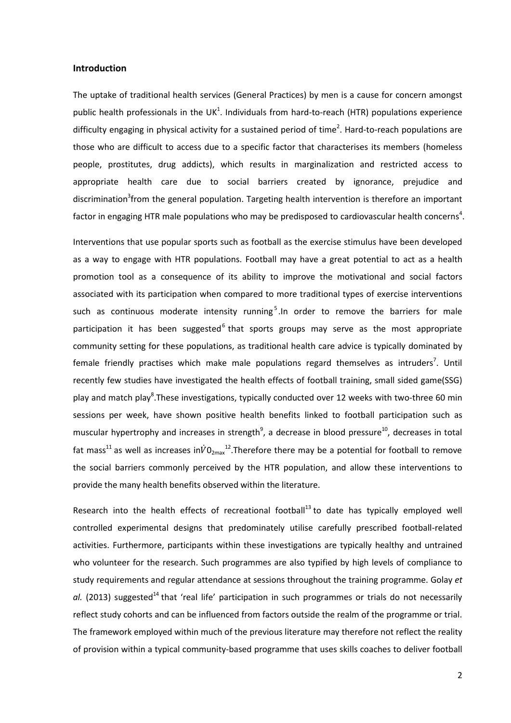## **Introduction**

The uptake of traditional health services (General Practices) by men is a cause for concern amongst public health professionals in the UK<sup>1</sup>. Individuals from hard-to-reach (HTR) populations experience difficulty engaging in physical activity for a sustained period of time<sup>2</sup>. Hard-to-reach populations are those who are difficult to access due to a specific factor that characterises its members (homeless people, prostitutes, drug addicts), which results in marginalization and restricted access to appropriate health care due to social barriers created by ignorance, prejudice and discrimination<sup>3</sup>from the general population. Targeting health intervention is therefore an important factor in engaging HTR male populations who may be predisposed to cardiovascular health concerns<sup>4</sup>.

Interventions that use popular sports such as football as the exercise stimulus have been developed as a way to engage with HTR populations. Football may have a great potential to act as a health promotion tool as a consequence of its ability to improve the motivational and social factors associated with its participation when compared to more traditional types of exercise interventions such as continuous moderate intensity running<sup>5</sup>. In order to remove the barriers for male participation it has been suggested<sup>6</sup> that sports groups may serve as the most appropriate community setting for these populations, as traditional health care advice is typically dominated by female friendly practises which make male populations regard themselves as intruders<sup>7</sup>. Until recently few studies have investigated the health effects of football training, small sided game(SSG) play and match play<sup>8</sup>. These investigations, typically conducted over 12 weeks with two-three 60 min sessions per week, have shown positive health benefits linked to football participation such as muscular hypertrophy and increases in strength<sup>9</sup>, a decrease in blood pressure<sup>10</sup>, decreases in total fat mass<sup>11</sup> as well as increases in $\dot{V}0_{2\text{max}}$ <sup>12</sup>. Therefore there may be a potential for football to remove the social barriers commonly perceived by the HTR population, and allow these interventions to provide the many health benefits observed within the literature.

Research into the health effects of recreational football<sup>13</sup> to date has typically employed well controlled experimental designs that predominately utilise carefully prescribed football-related activities. Furthermore, participants within these investigations are typically healthy and untrained who volunteer for the research. Such programmes are also typified by high levels of compliance to study requirements and regular attendance at sessions throughout the training programme. Golay *et*  al. (2013) suggested<sup>14</sup> that 'real life' participation in such programmes or trials do not necessarily reflect study cohorts and can be influenced from factors outside the realm of the programme or trial. The framework employed within much of the previous literature may therefore not reflect the reality of provision within a typical community-based programme that uses skills coaches to deliver football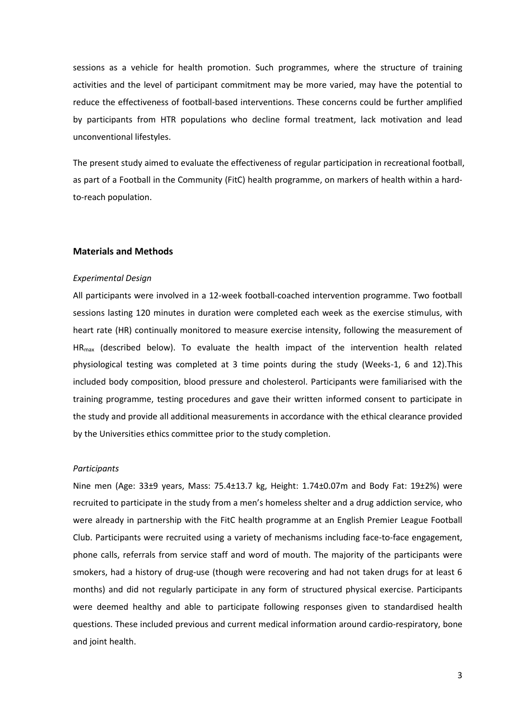sessions as a vehicle for health promotion. Such programmes, where the structure of training activities and the level of participant commitment may be more varied, may have the potential to reduce the effectiveness of football-based interventions. These concerns could be further amplified by participants from HTR populations who decline formal treatment, lack motivation and lead unconventional lifestyles.

The present study aimed to evaluate the effectiveness of regular participation in recreational football, as part of a Football in the Community (FitC) health programme, on markers of health within a hardto-reach population.

## **Materials and Methods**

### *Experimental Design*

All participants were involved in a 12-week football-coached intervention programme. Two football sessions lasting 120 minutes in duration were completed each week as the exercise stimulus, with heart rate (HR) continually monitored to measure exercise intensity, following the measurement of  $HR<sub>max</sub>$  (described below). To evaluate the health impact of the intervention health related physiological testing was completed at 3 time points during the study (Weeks-1, 6 and 12).This included body composition, blood pressure and cholesterol. Participants were familiarised with the training programme, testing procedures and gave their written informed consent to participate in the study and provide all additional measurements in accordance with the ethical clearance provided by the Universities ethics committee prior to the study completion.

## *Participants*

Nine men (Age: 33±9 years, Mass: 75.4±13.7 kg, Height: 1.74±0.07m and Body Fat: 19±2%) were recruited to participate in the study from a men's homeless shelter and a drug addiction service, who were already in partnership with the FitC health programme at an English Premier League Football Club. Participants were recruited using a variety of mechanisms including face-to-face engagement, phone calls, referrals from service staff and word of mouth. The majority of the participants were smokers, had a history of drug-use (though were recovering and had not taken drugs for at least 6 months) and did not regularly participate in any form of structured physical exercise. Participants were deemed healthy and able to participate following responses given to standardised health questions. These included previous and current medical information around cardio-respiratory, bone and joint health.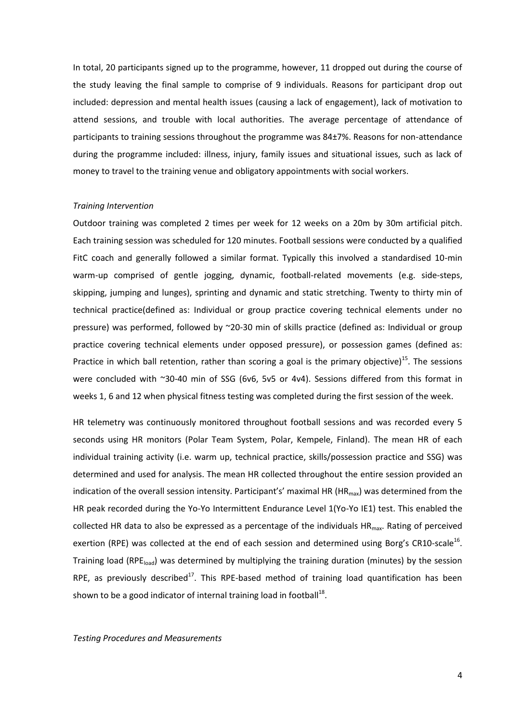In total, 20 participants signed up to the programme, however, 11 dropped out during the course of the study leaving the final sample to comprise of 9 individuals. Reasons for participant drop out included: depression and mental health issues (causing a lack of engagement), lack of motivation to attend sessions, and trouble with local authorities. The average percentage of attendance of participants to training sessions throughout the programme was 84±7%. Reasons for non-attendance during the programme included: illness, injury, family issues and situational issues, such as lack of money to travel to the training venue and obligatory appointments with social workers.

### *Training Intervention*

Outdoor training was completed 2 times per week for 12 weeks on a 20m by 30m artificial pitch. Each training session was scheduled for 120 minutes. Football sessions were conducted by a qualified FitC coach and generally followed a similar format. Typically this involved a standardised 10-min warm-up comprised of gentle jogging, dynamic, football-related movements (e.g. side-steps, skipping, jumping and lunges), sprinting and dynamic and static stretching. Twenty to thirty min of technical practice(defined as: Individual or group practice covering technical elements under no pressure) was performed, followed by ~20-30 min of skills practice (defined as: Individual or group practice covering technical elements under opposed pressure), or possession games (defined as: Practice in which ball retention, rather than scoring a goal is the primary objective)<sup>15</sup>. The sessions were concluded with ~30-40 min of SSG (6v6, 5v5 or 4v4). Sessions differed from this format in weeks 1, 6 and 12 when physical fitness testing was completed during the first session of the week.

HR telemetry was continuously monitored throughout football sessions and was recorded every 5 seconds using HR monitors (Polar Team System, Polar, Kempele, Finland). The mean HR of each individual training activity (i.e. warm up, technical practice, skills/possession practice and SSG) was determined and used for analysis. The mean HR collected throughout the entire session provided an indication of the overall session intensity. Participant's' maximal HR ( $HR_{max}$ ) was determined from the HR peak recorded during the Yo-Yo Intermittent Endurance Level 1(Yo-Yo IE1) test. This enabled the collected HR data to also be expressed as a percentage of the individuals  $HR_{max}$ . Rating of perceived exertion (RPE) was collected at the end of each session and determined using Borg's CR10-scale<sup>16</sup>. Training load (RPE<sub>load</sub>) was determined by multiplying the training duration (minutes) by the session RPE, as previously described<sup>17</sup>. This RPE-based method of training load quantification has been shown to be a good indicator of internal training load in football<sup>18</sup>.

*Testing Procedures and Measurements*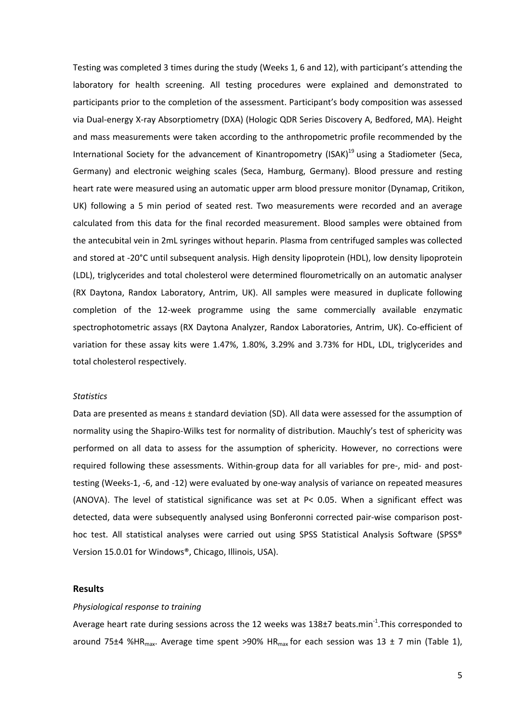Testing was completed 3 times during the study (Weeks 1, 6 and 12), with participant's attending the laboratory for health screening. All testing procedures were explained and demonstrated to participants prior to the completion of the assessment. Participant's body composition was assessed via Dual-energy X-ray Absorptiometry (DXA) (Hologic QDR Series Discovery A, Bedfored, MA). Height and mass measurements were taken according to the anthropometric profile recommended by the International Society for the advancement of Kinantropometry (ISAK)<sup>19</sup> using a Stadiometer (Seca, Germany) and electronic weighing scales (Seca, Hamburg, Germany). Blood pressure and resting heart rate were measured using an automatic upper arm blood pressure monitor (Dynamap, Critikon, UK) following a 5 min period of seated rest. Two measurements were recorded and an average calculated from this data for the final recorded measurement. Blood samples were obtained from the antecubital vein in 2mL syringes without heparin. Plasma from centrifuged samples was collected and stored at -20°C until subsequent analysis. High density lipoprotein (HDL), low density lipoprotein (LDL), triglycerides and total cholesterol were determined flourometrically on an automatic analyser (RX Daytona, Randox Laboratory, Antrim, UK). All samples were measured in duplicate following completion of the 12-week programme using the same commercially available enzymatic spectrophotometric assays (RX Daytona Analyzer, Randox Laboratories, Antrim, UK). Co-efficient of variation for these assay kits were 1.47%, 1.80%, 3.29% and 3.73% for HDL, LDL, triglycerides and total cholesterol respectively.

## *Statistics*

Data are presented as means ± standard deviation (SD). All data were assessed for the assumption of normality using the Shapiro-Wilks test for normality of distribution. Mauchly's test of sphericity was performed on all data to assess for the assumption of sphericity. However, no corrections were required following these assessments. Within-group data for all variables for pre-, mid- and posttesting (Weeks-1, -6, and -12) were evaluated by one-way analysis of variance on repeated measures (ANOVA). The level of statistical significance was set at P< 0.05. When a significant effect was detected, data were subsequently analysed using Bonferonni corrected pair-wise comparison posthoc test. All statistical analyses were carried out using SPSS Statistical Analysis Software (SPSS® Version 15.0.01 for Windows®, Chicago, Illinois, USA).

## **Results**

### *Physiological response to training*

Average heart rate during sessions across the 12 weeks was  $138\pm7$  beats.min<sup>-1</sup>. This corresponded to around 75 $\pm$ 4 %HR<sub>max</sub>. Average time spent >90% HR<sub>max</sub> for each session was 13  $\pm$  7 min (Table 1),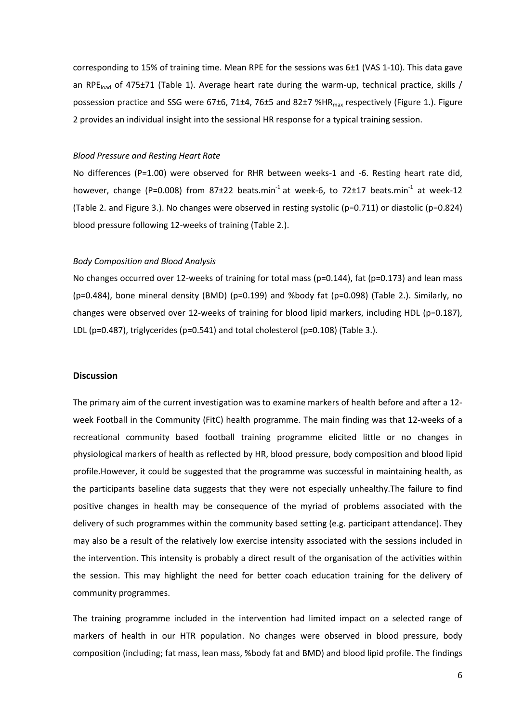corresponding to 15% of training time. Mean RPE for the sessions was 6±1 (VAS 1-10). This data gave an RPE<sub>load</sub> of 475±71 (Table 1). Average heart rate during the warm-up, technical practice, skills / possession practice and SSG were 67±6, 71±4, 76±5 and 82±7 %HR<sub>max</sub> respectively (Figure 1.). Figure 2 provides an individual insight into the sessional HR response for a typical training session.

### *Blood Pressure and Resting Heart Rate*

No differences (P=1.00) were observed for RHR between weeks-1 and -6. Resting heart rate did, however, change (P=0.008) from 87 $\pm$ 22 beats.min<sup>-1</sup> at week-6, to 72 $\pm$ 17 beats.min<sup>-1</sup> at week-12 (Table 2. and Figure 3.). No changes were observed in resting systolic (p=0.711) or diastolic (p=0.824) blood pressure following 12-weeks of training (Table 2.).

## *Body Composition and Blood Analysis*

No changes occurred over 12-weeks of training for total mass (p=0.144), fat (p=0.173) and lean mass (p=0.484), bone mineral density (BMD) (p=0.199) and %body fat (p=0.098) (Table 2.). Similarly, no changes were observed over 12-weeks of training for blood lipid markers, including HDL (p=0.187), LDL (p=0.487), triglycerides (p=0.541) and total cholesterol (p=0.108) (Table 3.).

## **Discussion**

The primary aim of the current investigation was to examine markers of health before and after a 12 week Football in the Community (FitC) health programme. The main finding was that 12-weeks of a recreational community based football training programme elicited little or no changes in physiological markers of health as reflected by HR, blood pressure, body composition and blood lipid profile.However, it could be suggested that the programme was successful in maintaining health, as the participants baseline data suggests that they were not especially unhealthy.The failure to find positive changes in health may be consequence of the myriad of problems associated with the delivery of such programmes within the community based setting (e.g. participant attendance). They may also be a result of the relatively low exercise intensity associated with the sessions included in the intervention. This intensity is probably a direct result of the organisation of the activities within the session. This may highlight the need for better coach education training for the delivery of community programmes.

The training programme included in the intervention had limited impact on a selected range of markers of health in our HTR population. No changes were observed in blood pressure, body composition (including; fat mass, lean mass, %body fat and BMD) and blood lipid profile. The findings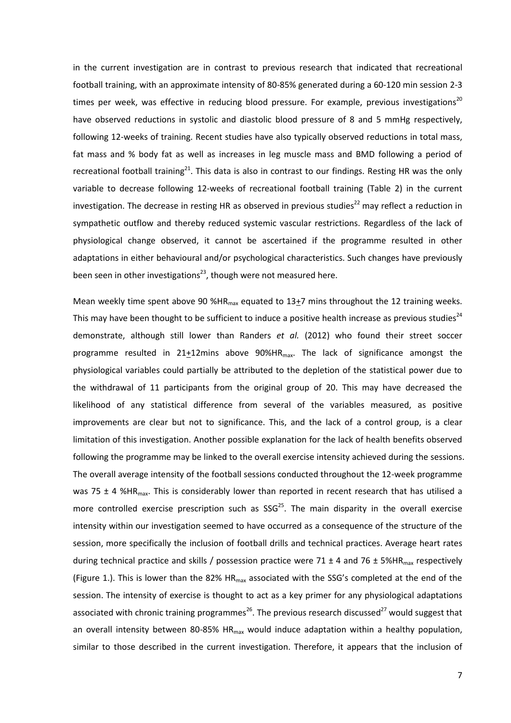in the current investigation are in contrast to previous research that indicated that recreational football training, with an approximate intensity of 80-85% generated during a 60-120 min session 2-3 times per week, was effective in reducing blood pressure. For example, previous investigations<sup>20</sup> have observed reductions in systolic and diastolic blood pressure of 8 and 5 mmHg respectively, following 12-weeks of training. Recent studies have also typically observed reductions in total mass, fat mass and % body fat as well as increases in leg muscle mass and BMD following a period of recreational football training<sup>21</sup>. This data is also in contrast to our findings. Resting HR was the only variable to decrease following 12-weeks of recreational football training (Table 2) in the current investigation. The decrease in resting HR as observed in previous studies<sup>22</sup> may reflect a reduction in sympathetic outflow and thereby reduced systemic vascular restrictions. Regardless of the lack of physiological change observed, it cannot be ascertained if the programme resulted in other adaptations in either behavioural and/or psychological characteristics. Such changes have previously been seen in other investigations<sup>23</sup>, though were not measured here.

Mean weekly time spent above 90 %HR<sub>max</sub> equated to 13+7 mins throughout the 12 training weeks. This may have been thought to be sufficient to induce a positive health increase as previous studies<sup>24</sup> demonstrate, although still lower than Randers *et al.* (2012) who found their street soccer programme resulted in  $21+12$ mins above  $90\%$ HR<sub>max</sub>. The lack of significance amongst the physiological variables could partially be attributed to the depletion of the statistical power due to the withdrawal of 11 participants from the original group of 20. This may have decreased the likelihood of any statistical difference from several of the variables measured, as positive improvements are clear but not to significance. This, and the lack of a control group, is a clear limitation of this investigation. Another possible explanation for the lack of health benefits observed following the programme may be linked to the overall exercise intensity achieved during the sessions. The overall average intensity of the football sessions conducted throughout the 12-week programme was 75  $\pm$  4 %HR<sub>max</sub>. This is considerably lower than reported in recent research that has utilised a more controlled exercise prescription such as  $SSG<sup>25</sup>$ . The main disparity in the overall exercise intensity within our investigation seemed to have occurred as a consequence of the structure of the session, more specifically the inclusion of football drills and technical practices. Average heart rates during technical practice and skills / possession practice were 71  $\pm$  4 and 76  $\pm$  5%HR<sub>max</sub> respectively (Figure 1.). This is lower than the 82%  $HR_{max}$  associated with the SSG's completed at the end of the session. The intensity of exercise is thought to act as a key primer for any physiological adaptations associated with chronic training programmes<sup>26</sup>. The previous research discussed<sup>27</sup> would suggest that an overall intensity between 80-85% HR<sub>max</sub> would induce adaptation within a healthy population, similar to those described in the current investigation. Therefore, it appears that the inclusion of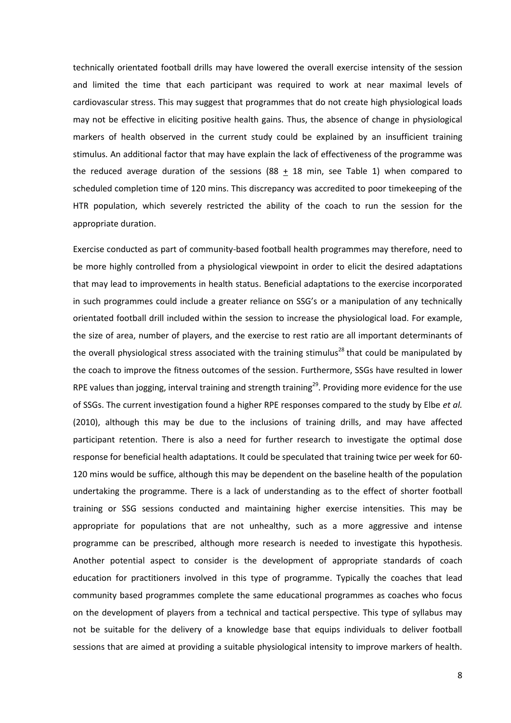technically orientated football drills may have lowered the overall exercise intensity of the session and limited the time that each participant was required to work at near maximal levels of cardiovascular stress. This may suggest that programmes that do not create high physiological loads may not be effective in eliciting positive health gains. Thus, the absence of change in physiological markers of health observed in the current study could be explained by an insufficient training stimulus. An additional factor that may have explain the lack of effectiveness of the programme was the reduced average duration of the sessions (88  $\pm$  18 min, see Table 1) when compared to scheduled completion time of 120 mins. This discrepancy was accredited to poor timekeeping of the HTR population, which severely restricted the ability of the coach to run the session for the appropriate duration.

Exercise conducted as part of community-based football health programmes may therefore, need to be more highly controlled from a physiological viewpoint in order to elicit the desired adaptations that may lead to improvements in health status. Beneficial adaptations to the exercise incorporated in such programmes could include a greater reliance on SSG's or a manipulation of any technically orientated football drill included within the session to increase the physiological load. For example, the size of area, number of players, and the exercise to rest ratio are all important determinants of the overall physiological stress associated with the training stimulus<sup>28</sup> that could be manipulated by the coach to improve the fitness outcomes of the session. Furthermore, SSGs have resulted in lower RPE values than jogging, interval training and strength training<sup>29</sup>. Providing more evidence for the use of SSGs. The current investigation found a higher RPE responses compared to the study by Elbe *et al.*  (2010), although this may be due to the inclusions of training drills, and may have affected participant retention. There is also a need for further research to investigate the optimal dose response for beneficial health adaptations. It could be speculated that training twice per week for 60- 120 mins would be suffice, although this may be dependent on the baseline health of the population undertaking the programme. There is a lack of understanding as to the effect of shorter football training or SSG sessions conducted and maintaining higher exercise intensities. This may be appropriate for populations that are not unhealthy, such as a more aggressive and intense programme can be prescribed, although more research is needed to investigate this hypothesis. Another potential aspect to consider is the development of appropriate standards of coach education for practitioners involved in this type of programme. Typically the coaches that lead community based programmes complete the same educational programmes as coaches who focus on the development of players from a technical and tactical perspective. This type of syllabus may not be suitable for the delivery of a knowledge base that equips individuals to deliver football sessions that are aimed at providing a suitable physiological intensity to improve markers of health.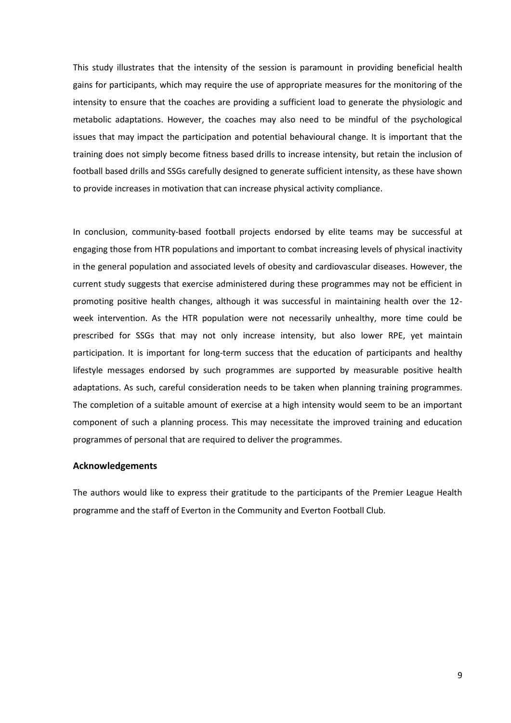This study illustrates that the intensity of the session is paramount in providing beneficial health gains for participants, which may require the use of appropriate measures for the monitoring of the intensity to ensure that the coaches are providing a sufficient load to generate the physiologic and metabolic adaptations. However, the coaches may also need to be mindful of the psychological issues that may impact the participation and potential behavioural change. It is important that the training does not simply become fitness based drills to increase intensity, but retain the inclusion of football based drills and SSGs carefully designed to generate sufficient intensity, as these have shown to provide increases in motivation that can increase physical activity compliance.

In conclusion, community-based football projects endorsed by elite teams may be successful at engaging those from HTR populations and important to combat increasing levels of physical inactivity in the general population and associated levels of obesity and cardiovascular diseases. However, the current study suggests that exercise administered during these programmes may not be efficient in promoting positive health changes, although it was successful in maintaining health over the 12 week intervention. As the HTR population were not necessarily unhealthy, more time could be prescribed for SSGs that may not only increase intensity, but also lower RPE, yet maintain participation. It is important for long-term success that the education of participants and healthy lifestyle messages endorsed by such programmes are supported by measurable positive health adaptations. As such, careful consideration needs to be taken when planning training programmes. The completion of a suitable amount of exercise at a high intensity would seem to be an important component of such a planning process. This may necessitate the improved training and education programmes of personal that are required to deliver the programmes.

## **Acknowledgements**

The authors would like to express their gratitude to the participants of the Premier League Health programme and the staff of Everton in the Community and Everton Football Club.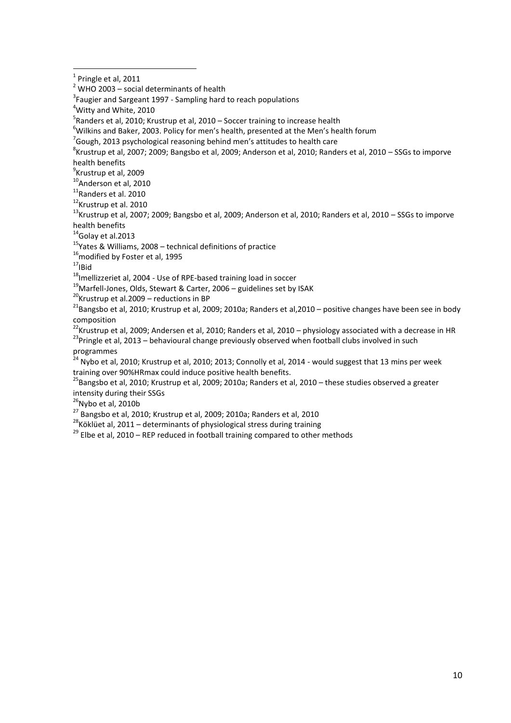1

 $6$ Wilkins and Baker, 2003. Policy for men's health, presented at the Men's health forum

8 Krustrup et al, 2007; 2009; Bangsbo et al, 2009; Anderson et al, 2010; Randers et al, 2010 – SSGs to imporve health benefits

<sup>9</sup>Krustrup et al, 2009

<sup>10</sup>Anderson et al, 2010

 $^{11}$ Randers et al. 2010

<sup>12</sup>Krustrup et al. 2010

 $^{13}$ Krustrup et al, 2007; 2009; Bangsbo et al, 2009; Anderson et al, 2010; Randers et al, 2010 – SSGs to imporve health benefits

 $14$ Golay et al.2013

 $15$ Yates & Williams, 2008 – technical definitions of practice

 $16$ modified by Foster et al, 1995

 $17$ <sub>IBid</sub>

<sup>18</sup>Imellizzeriet al, 2004 - Use of RPE-based training load in soccer

 $19$ Marfell-Jones, Olds, Stewart & Carter, 2006 – guidelines set by ISAK

 $20$ Krustrup et al.2009 – reductions in BP

<sup>21</sup>Bangsbo et al, 2010; Krustrup et al, 2009; 2010a; Randers et al, 2010 – positive changes have been see in body composition

 $^{22}$ Krustrup et al, 2009; Andersen et al, 2010; Randers et al, 2010 – physiology associated with a decrease in HR

<sup>23</sup>Pringle et al, 2013 – behavioural change previously observed when football clubs involved in such programmes

 $24$  Nybo et al, 2010; Krustrup et al, 2010; 2013; Connolly et al, 2014 - would suggest that 13 mins per week training over 90%HRmax could induce positive health benefits.

<sup>25</sup>Bangsbo et al, 2010; Krustrup et al, 2009; 2010a; Randers et al, 2010 – these studies observed a greater intensity during their SSGs

 $26$ Nybo et al, 2010b

<sup>27</sup> Bangsbo et al, 2010; Krustrup et al, 2009; 2010a; Randers et al, 2010

 $28$ Köklüet al, 2011 – determinants of physiological stress during training

 $29$  Elbe et al, 2010 – REP reduced in football training compared to other methods

 $<sup>1</sup>$  Pringle et al, 2011</sup>

 $2$  WHO 2003 – social determinants of health

<sup>&</sup>lt;sup>3</sup> Faugier and Sargeant 1997 - Sampling hard to reach populations

<sup>&</sup>lt;sup>4</sup>Witty and White, 2010

<sup>&</sup>lt;sup>5</sup>Randers et al, 2010; Krustrup et al, 2010 – Soccer training to increase health

 $^7$ Gough, 2013 psychological reasoning behind men's attitudes to health care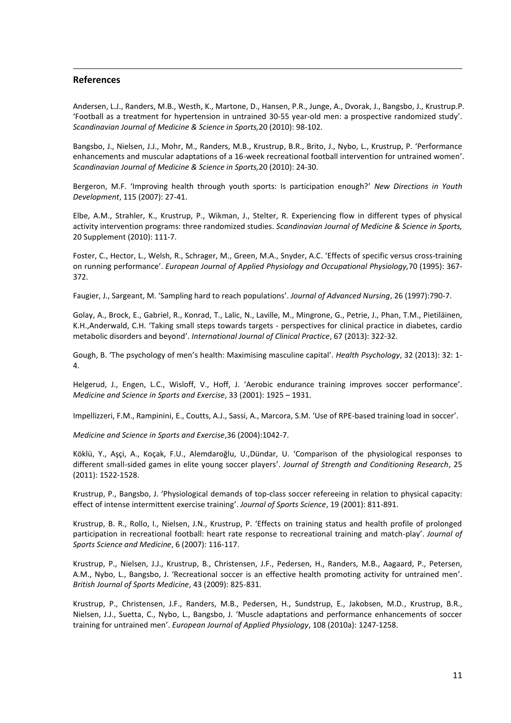## **References**

1

Andersen, L.J., Randers, M.B., Westh, K., Martone, D., Hansen, P.R., Junge, A., Dvorak, J., Bangsbo, J., Krustrup.P. 'Football as a treatment for hypertension in untrained 30-55 year-old men: a prospective randomized study'. *Scandinavian Journal of Medicine & Science in Sports,*20 (2010): 98-102.

Bangsbo, J., Nielsen, J.J., Mohr, M., Randers, M.B., Krustrup, B.R., Brito, J., Nybo, L., Krustrup, P. 'Performance enhancements and muscular adaptations of a 16-week recreational football intervention for untrained women'. *Scandinavian Journal of Medicine & Science in Sports,*20 (2010): 24-30.

Bergeron, M.F. 'Improving health through youth sports: Is participation enough?' *New Directions in Youth Development*, 115 (2007): 27-41.

Elbe, A.M., Strahler, K., Krustrup, P., Wikman, J., Stelter, R. Experiencing flow in different types of physical activity intervention programs: three randomized studies. *Scandinavian Journal of Medicine & Science in Sports,* 20 Supplement (2010): 111-7.

Foster, C., Hector, L., Welsh, R., Schrager, M., Green, M.A., Snyder, A.C. 'Effects of specific versus cross-training on running performance'. *European Journal of Applied Physiology and Occupational Physiology,*70 (1995): 367- 372.

Faugier, J., Sargeant, M. 'Sampling hard to reach populations'. *Journal of Advanced Nursing*, 26 (1997):790-7.

Golay, A., Brock, E., Gabriel, R., Konrad, T., Lalic, N., Laville, M., Mingrone, G., Petrie, J., Phan, T.M., Pietiläinen, K.H.,Anderwald, C.H. 'Taking small steps towards targets - perspectives for clinical practice in diabetes, cardio metabolic disorders and beyond'. *International Journal of Clinical Practice*, 67 (2013): 322-32.

Gough, B. 'The psychology of men's health: Maximising masculine capital'. *Health Psychology*, 32 (2013): 32: 1- 4.

Helgerud, J., Engen, L.C., Wisloff, V., Hoff, J. 'Aerobic endurance training improves soccer performance'. *Medicine and Science in Sports and Exercise*, 33 (2001): 1925 – 1931.

Impellizzeri, F.M., Rampinini, E., Coutts, A.J., Sassi, A., Marcora, S.M. 'Use of RPE-based training load in soccer'.

*Medicine and Science in Sports and Exercise*,36 (2004):1042-7.

Köklü, Y., Aşçi, A., Koçak, F.U., Alemdaroğlu, U.,Dündar, U. 'Comparison of the physiological responses to different small-sided games in elite young soccer players'. *Journal of Strength and Conditioning Research*, 25 (2011): 1522-1528.

Krustrup, P., Bangsbo, J. 'Physiological demands of top-class soccer refereeing in relation to physical capacity: effect of intense intermittent exercise training'. *Journal of Sports Science*, 19 (2001): 811-891.

Krustrup, B. R., Rollo, I., Nielsen, J.N., Krustrup, P. 'Effects on training status and health profile of prolonged participation in recreational football: heart rate response to recreational training and match-play'. *Journal of Sports Science and Medicine*, 6 (2007): 116-117.

Krustrup, P., Nielsen, J.J., Krustrup, B., Christensen, J.F., Pedersen, H., Randers, M.B., Aagaard, P., Petersen, A.M., Nybo, L., Bangsbo, J. 'Recreational soccer is an effective health promoting activity for untrained men'. *British Journal of Sports Medicine*, 43 (2009): 825-831.

Krustrup, P., Christensen, J.F., Randers, M.B., Pedersen, H., Sundstrup, E., Jakobsen, M.D., Krustrup, B.R., Nielsen, J.J., Suetta, C., Nybo, L., Bangsbo, J. 'Muscle adaptations and performance enhancements of soccer training for untrained men'. *European Journal of Applied Physiology*, 108 (2010a): 1247-1258.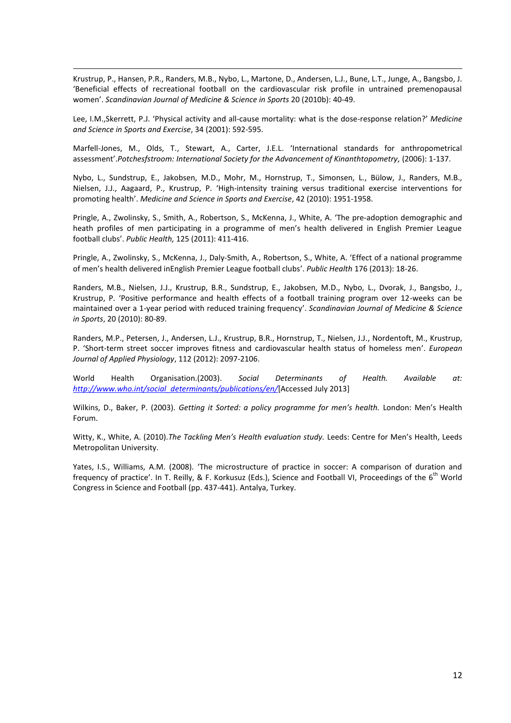Krustrup, P., Hansen, P.R., Randers, M.B., Nybo, L., Martone, D., Andersen, L.J., Bune, L.T., Junge, A., Bangsbo, J. 'Beneficial effects of recreational football on the cardiovascular risk profile in untrained premenopausal women'. *Scandinavian Journal of Medicine & Science in Sports* 20 (2010b): 40-49.

1

Lee, I.M.,Skerrett, P.J. 'Physical activity and all-cause mortality: what is the dose-response relation?' *Medicine and Science in Sports and Exercise*, 34 (2001): 592-595.

Marfell-Jones, M., Olds, T., Stewart, A., Carter, J.E.L. 'International standards for anthropometrical assessment'.*Potchesfstroom: International Society for the Advancement of Kinanthtopometry,* (2006): 1-137.

Nybo, L., Sundstrup, E., Jakobsen, M.D., Mohr, M., Hornstrup, T., Simonsen, L., Bülow, J., Randers, M.B., Nielsen, J.J., Aagaard, P., Krustrup, P. 'High-intensity training versus traditional exercise interventions for promoting health'. *Medicine and Science in Sports and Exercise*, 42 (2010): 1951-1958.

Pringle, A., Zwolinsky, S., Smith, A., Robertson, S., McKenna, J., White, A. 'The pre-adoption demographic and heath profiles of men participating in a programme of men's health delivered in English Premier League football clubs'. *Public Health,* 125 (2011): 411-416.

Pringle, A., Zwolinsky, S., McKenna, J., Daly-Smith, A., Robertson, S., White, A. 'Effect of a national programme of men's health delivered inEnglish Premier League football clubs'. *Public Health* 176 (2013): 18-26.

Randers, M.B., Nielsen, J.J., Krustrup, B.R., Sundstrup, E., Jakobsen, M.D., Nybo, L., Dvorak, J., Bangsbo, J., Krustrup, P. 'Positive performance and health effects of a football training program over 12-weeks can be maintained over a 1-year period with reduced training frequency'. *Scandinavian Journal of Medicine & Science in Sports*, 20 (2010): 80-89.

Randers, M.P., Petersen, J., Andersen, L.J., Krustrup, B.R., Hornstrup, T., Nielsen, J.J., Nordentoft, M., Krustrup, P. 'Short-term street soccer improves fitness and cardiovascular health status of homeless men'. *European Journal of Applied Physiology*, 112 (2012): 2097-2106.

World Health Organisation.(2003). *Social Determinants of Health. Available at: [http://www.who.int/social\\_determinants/publications/en/](http://www.who.int/social_determinants/publications/en/)*[Accessed July 2013]

Wilkins, D., Baker, P. (2003). *Getting it Sorted: a policy programme for men's health.* London: Men's Health Forum.

Witty, K., White, A. (2010).*The Tackling Men's Health evaluation study.* Leeds: Centre for Men's Health, Leeds Metropolitan University.

Yates, I.S., Williams, A.M. (2008). 'The microstructure of practice in soccer: A comparison of duration and frequency of practice'. In T. Reilly, & F. Korkusuz (Eds.), Science and Football VI, Proceedings of the  $6^{th}$  World Congress in Science and Football (pp. 437-441). Antalya, Turkey.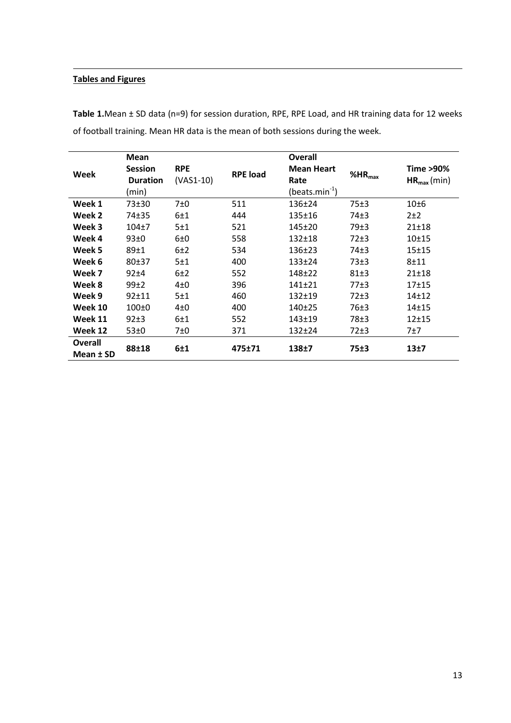## **Tables and Figures**

1

|                | <b>Mean</b>                       |                           |                 | <b>Overall</b>            |                    |                              |
|----------------|-----------------------------------|---------------------------|-----------------|---------------------------|--------------------|------------------------------|
| Week           | <b>Session</b><br><b>Duration</b> | <b>RPE</b><br>$(VAS1-10)$ | <b>RPE</b> load | <b>Mean Heart</b><br>Rate | %HR <sub>max</sub> | Time >90%<br>$HR_{max}(min)$ |
|                | (min)                             |                           |                 | $(beats.min-1)$           |                    |                              |
| Week 1         | $73 + 30$                         | 7±0                       | 511             | $136 \pm 24$              | 75±3               | 10 <sub>±6</sub>             |
| Week 2         | 74±35                             | 6±1                       | 444             | $135 \pm 16$              | 74±3               | $2+2$                        |
| Week 3         | $104+7$                           | 5±1                       | 521             | 145±20                    | 79±3               | $21 \pm 18$                  |
| Week 4         | 93±0                              | 6±0                       | 558             | $132 + 18$                | $72\pm3$           | $10+15$                      |
| Week 5         | 89±1                              | 6±2                       | 534             | $136 \pm 23$              | 74±3               | $15 + 15$                    |
| Week 6         | $80+37$                           | 5±1                       | 400             | $133 \pm 24$              | 73±3               | $8 + 11$                     |
| Week 7         | $92+4$                            | 6±2                       | 552             | $148 + 22$                | 81±3               | $21 \pm 18$                  |
| Week 8         | 99±2                              | $4\pm0$                   | 396             | $141+21$                  | 77±3               | $17+15$                      |
| Week 9         | $92 + 11$                         | 5±1                       | 460             | $132 + 19$                | $72\pm3$           | $14 + 12$                    |
| Week 10        | 100 <sub>±0</sub>                 | $4\pm0$                   | 400             | $140+25$                  | 76±3               | $14 + 15$                    |
| Week 11        | $92\pm3$                          | 6±1                       | 552             | $143 + 19$                | 78±3               | $12+15$                      |
| Week 12        | 53±0                              | 7±0                       | 371             | $132+24$                  | $72\pm3$           | 7±7                          |
| <b>Overall</b> |                                   |                           | 475±71          | 138±7<br>75±3             |                    | 13 <sub>±7</sub>             |
| Mean ± SD      | 88±18                             | 6±1                       |                 |                           |                    |                              |

**Table 1.**Mean ± SD data (n=9) for session duration, RPE, RPE Load, and HR training data for 12 weeks of football training. Mean HR data is the mean of both sessions during the week.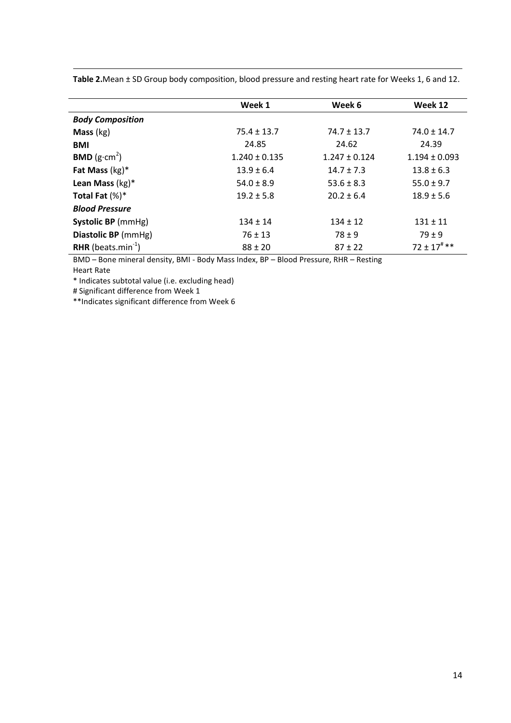|                                       | Week 1            | Week 6            | Week 12                    |
|---------------------------------------|-------------------|-------------------|----------------------------|
| <b>Body Composition</b>               |                   |                   |                            |
| <b>Mass</b> $(kg)$                    | $75.4 \pm 13.7$   | $74.7 \pm 13.7$   | $74.0 \pm 14.7$            |
| <b>BMI</b>                            | 24.85             | 24.62             | 24.39                      |
| <b>BMD</b> ( $g \cdot cm^2$ )         | $1.240 \pm 0.135$ | $1.247 \pm 0.124$ | $1.194 \pm 0.093$          |
| Fat Mass $(kg)^*$                     | $13.9 \pm 6.4$    | $14.7 \pm 7.3$    | $13.8 \pm 6.3$             |
| Lean Mass $(kg)^*$                    | $54.0 \pm 8.9$    | $53.6 \pm 8.3$    | $55.0 \pm 9.7$             |
| Total Fat $(\%)^*$                    | $19.2 \pm 5.8$    | $20.2 \pm 6.4$    | $18.9 \pm 5.6$             |
| <b>Blood Pressure</b>                 |                   |                   |                            |
| Systolic BP (mmHg)                    | $134 \pm 14$      | $134 \pm 12$      | $131 \pm 11$               |
| Diastolic BP (mmHg)                   | $76 \pm 13$       | $78 \pm 9$        | $79 \pm 9$                 |
| <b>RHR</b> (beats.min <sup>-1</sup> ) | $88 \pm 20$       | $87 \pm 22$       | $72 \pm 17$ <sup>#**</sup> |

**Table 2.**Mean ± SD Group body composition, blood pressure and resting heart rate for Weeks 1, 6 and 12.

BMD – Bone mineral density, BMI - Body Mass Index, BP – Blood Pressure, RHR – Resting Heart Rate

\* Indicates subtotal value (i.e. excluding head)

# Significant difference from Week 1

1

\*\*Indicates significant difference from Week 6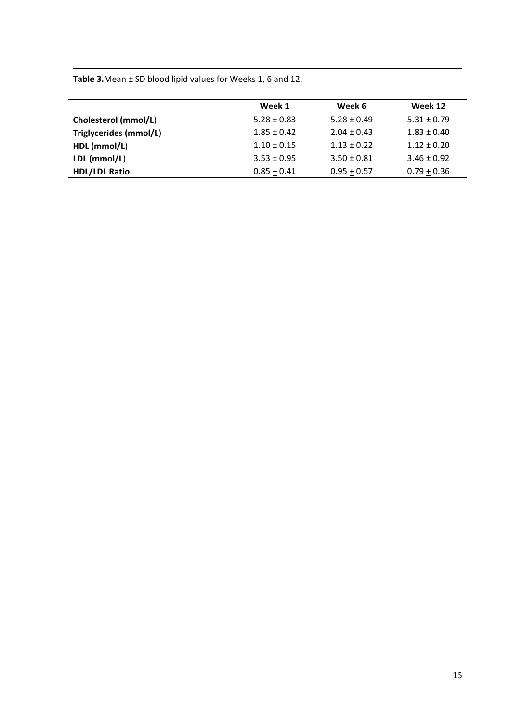**Table 3.**Mean ± SD blood lipid values for Weeks 1, 6 and 12.

1

|                        | Week 1          | Week 6          | Week 12         |
|------------------------|-----------------|-----------------|-----------------|
| Cholesterol (mmol/L)   | $5.28 \pm 0.83$ | $5.28 \pm 0.49$ | $5.31 \pm 0.79$ |
| Triglycerides (mmol/L) | $1.85 \pm 0.42$ | $2.04 \pm 0.43$ | $1.83 \pm 0.40$ |
| HDL (mmol/L)           | $1.10 \pm 0.15$ | $1.13 \pm 0.22$ | $1.12 \pm 0.20$ |
| LDL (mmol/L)           | $3.53 \pm 0.95$ | $3.50 \pm 0.81$ | $3.46 \pm 0.92$ |
| <b>HDL/LDL Ratio</b>   | $0.85 + 0.41$   | $0.95 + 0.57$   | $0.79 + 0.36$   |
|                        |                 |                 |                 |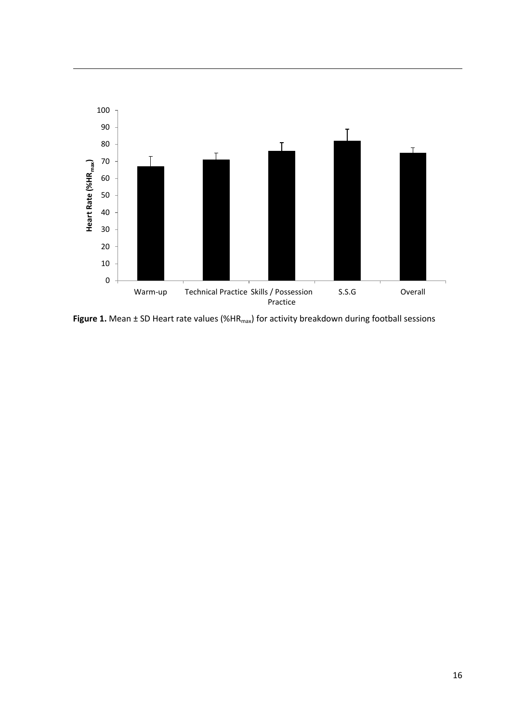

Figure 1. Mean ± SD Heart rate values (%HR<sub>max</sub>) for activity breakdown during football sessions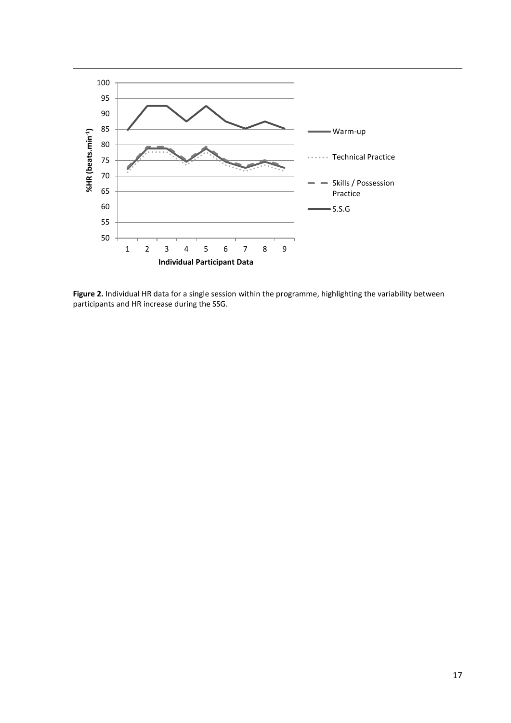

**Figure 2.** Individual HR data for a single session within the programme, highlighting the variability between participants and HR increase during the SSG.